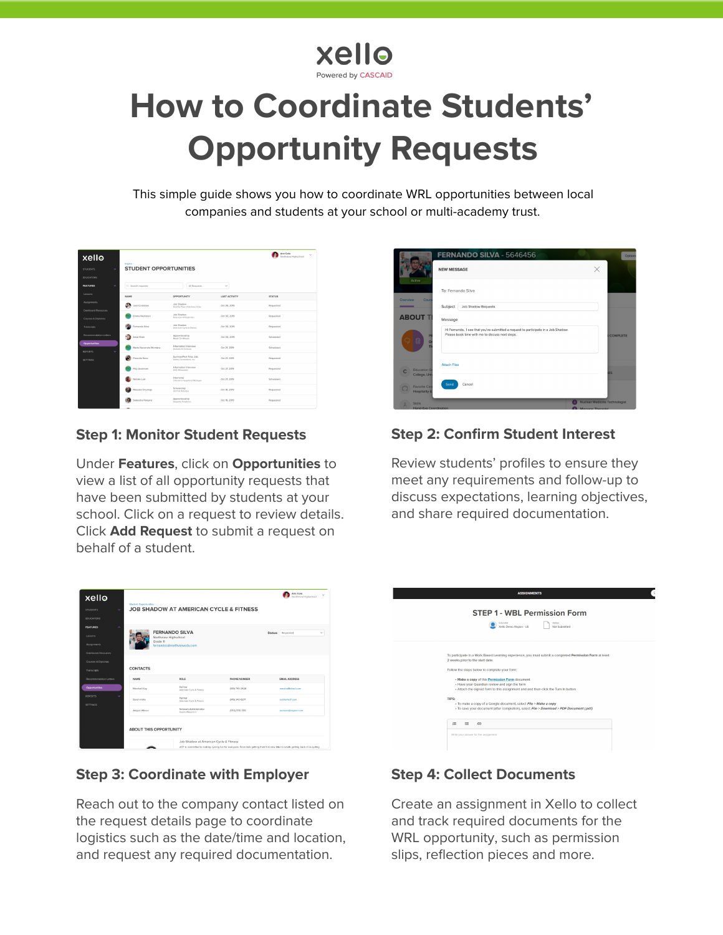## **XAIIQ**

# **How to Coordinate Students' Opportunity Requests**

This simple guide shows you how to coordinate WRL opportunities between local companies and students at your school or multi-academy trust.

| xello<br>v<br><b>STUDENTS</b><br><b>EDUCATORS</b> | Inspire /<br><b>STUDENT OPPORTUNITIES</b> |                                                 |               | <b>Arm Cale</b><br>$\sim$<br>Northview Highschool |
|---------------------------------------------------|-------------------------------------------|-------------------------------------------------|---------------|---------------------------------------------------|
| <b>FEATURES</b><br>$\overline{a}$                 | Q Search requests                         | All Requests                                    | $\checkmark$  |                                                   |
| Losscen                                           | NAME                                      | <b>OPPORTUNITY</b>                              | LAST ACTIVITY | <b>STATUS</b>                                     |
| Assignments                                       | s.<br>Joel Condobes                       | Job Shadow<br>Healthy Powd Virte-Inary Clinic   | Oct 30, 2019  | Requested                                         |
| <b>Dashboard Resources</b><br>Courses & Diolomas  | <b>Drama Nemines</b>                      | Job Shirdow<br>American Orthodomics             | Oct 30, 2019  | Requested                                         |
| Transcripts                                       | Fernando Silva                            | Job Shadow<br>American Cycle & Filmess          | Ort 30, 2099  | Requested                                         |
| Recommendation Letters                            | Arnal Sheh                                | Aconeticeship<br>Mosts On Wheels                | Oct 30, 2019  | Scheduled                                         |
| Opportunities<br><b>REPORTS</b><br>v              | Marta Navarrete Montana                   | Information Interview<br>Rockets for Schools    | Oct 21, 2019  | Schuchslad                                        |
| SETTINGS                                          | Prescilla Nero                            | SummerPart-Time Job<br>Safety Connections, Inc. | Oct 21, 2019  | Requested                                         |
|                                                   | Filip Andersen                            | Information Interview<br>ASQ Milwis kee         | Oct 21, 2019  | Requested                                         |
|                                                   | Netalie Luik                              | Internship<br>Children's Hospital of Michigan   | Oct 21, 2019  | Scheduled                                         |
|                                                   | Massala Onyango                           | Scholarship<br>US First Belowers                | Oct 16, 2019  | Requested                                         |
|                                                   | Sateesha Ranjana                          | Apprenticeship<br>Sagesta Foods Inc.            | Oct 16, 2019  | Requested                                         |
|                                                   |                                           |                                                 |               |                                                   |

#### **Step 1: Monitor Student Requests**

Under **Features**, click on **Opportunities** to view a list of all opportunity requests that have been submitted by students at your school. Click on a request to review details. Click **Add Request** to submit a request on behalf of a student.

| xello<br><b>STUDENTS</b><br>u<br><b>EDUCATORS</b>                            | Student Ocoortunities<br><b>JOB SHADOW AT AMERICAN CYCLE &amp; FITNESS</b> | Ann Cole<br>$\sim$<br>Northview Highschool                                                                                                                                      |                |                                   |  |  |
|------------------------------------------------------------------------------|----------------------------------------------------------------------------|---------------------------------------------------------------------------------------------------------------------------------------------------------------------------------|----------------|-----------------------------------|--|--|
| <b>FEATURES</b><br>۰<br>Lessons<br>Assignments<br><b>Dayhboard Resources</b> | Grade 11                                                                   | <b>FERNANDO SILVA</b><br>Northview Highschool<br>fernandos@northviewedu.com                                                                                                     |                | Status: Requested<br>$\checkmark$ |  |  |
| Courses & Diplomas<br>Transcripts                                            | CONTACTS                                                                   |                                                                                                                                                                                 |                |                                   |  |  |
| Recommendation Letters                                                       | <b>NAME</b>                                                                | ROLE                                                                                                                                                                            | PHONE NUMBER   | <b>EMAIL ADDRESS</b>              |  |  |
| <b>Opportunities</b>                                                         | Marshall Kay                                                               | Partner<br>American Cycle & Fitness                                                                                                                                             | (619) 745-3426 | marshalls mach com-               |  |  |
| <b>REPORTS</b><br>s.<br><b>SETTINGS</b>                                      | Sarah Valle                                                                | Partner<br>American Cycle & Fitness                                                                                                                                             | (619) 343-6271 | sveled act.com                    |  |  |
|                                                                              | Abigail Wilson                                                             | Network Administrator<br>Insaire Waccorsin                                                                                                                                      | (555) 555-555  | awison@inspire.com                |  |  |
| AROUT THIS OPPORTUNITY                                                       |                                                                            |                                                                                                                                                                                 |                |                                   |  |  |
|                                                                              |                                                                            | Job Shadow at American Cycle & Fitness<br>ACF is committed to making cycling fun for everyone. From kids getting their first new blke to adults getting back in to cycling<br>æ |                |                                   |  |  |

#### **Step 3: Coordinate with Employer**

Reach out to the company contact listed on the request details page to coordinate logistics such as the date/time and location, and request any required documentation.



#### **Step 2: Confirm Student Interest**

Review students' profiles to ensure they meet any requirements and follow-up to discuss expectations, learning objectives, and share required documentation.

| <b>ASSIGNMENTS</b>                                                                                                                                                                                                                                                                                                                                                                                                                                                                                                                                                                                                                  |  |
|-------------------------------------------------------------------------------------------------------------------------------------------------------------------------------------------------------------------------------------------------------------------------------------------------------------------------------------------------------------------------------------------------------------------------------------------------------------------------------------------------------------------------------------------------------------------------------------------------------------------------------------|--|
| <b>STEP 1 - WBL Permission Form</b><br><b>Status</b><br>Educator<br><b>Xello Demo Region - US</b><br>Not Submitted                                                                                                                                                                                                                                                                                                                                                                                                                                                                                                                  |  |
| To participate in a Work Based Learning experience, you must submit a completed Permission Form at least<br>2 weeks prior to the start date.<br>Follow the steps below to complete your form:<br>- Make a copy of this Permission Form document<br>- Have your Guardian review and sign the form<br>- Attach the signed form to this assignment and and then click the Turn in button<br>TIPS:<br>- To make a copy of a Google document, select File > Make a copy<br>- To save your document (after completion), select File > Download > PDF Document (.pdf)<br>运<br>$\equiv$<br>$\oplus$<br>Write your answer for the assignment |  |

#### **Step 4: Collect Documents**

Create an assignment in Xello to collect and track required documents for the WRL opportunity, such as permission slips, reflection pieces and more.